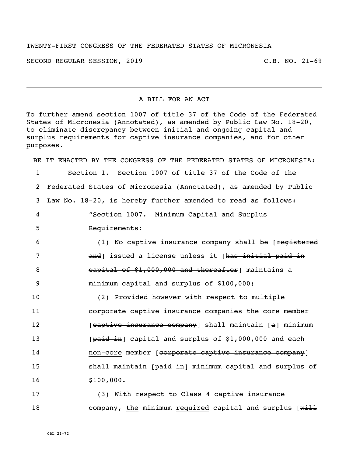## TWENTY-FIRST CONGRESS OF THE FEDERATED STATES OF MICRONESIA

SECOND REGULAR SESSION, 2019 C.B. NO. 21-69

## A BILL FOR AN ACT

To further amend section 1007 of title 37 of the Code of the Federated States of Micronesia (Annotated), as amended by Public Law No. 18-20, to eliminate discrepancy between initial and ongoing capital and surplus requirements for captive insurance companies, and for other purposes.

BE IT ENACTED BY THE CONGRESS OF THE FEDERATED STATES OF MICRONESIA: Section 1. Section 1007 of title 37 of the Code of the Federated States of Micronesia (Annotated), as amended by Public Law No. 18-20, is hereby further amended to read as follows: "Section 1007. Minimum Capital and Surplus Requirements: 6 (1) No captive insurance company shall be [<del>reqistered</del> **and** and issued a license unless it [has initial paid-in **6 capital of \$1,000,000 and thereafter** maintains a minimum capital and surplus of \$100,000; (2) Provided however with respect to multiple corporate captive insurance companies the core member **Example 12** [captive insurance company] shall maintain [a] minimum 13 [paid in] capital and surplus of \$1,000,000 and each 14 non-core member [corporate captive insurance company] **shall maintain [paid in] minimum capital and surplus of** 16 \$100,000.

17 (3) With respect to Class 4 captive insurance 18 company, the minimum required capital and surplus [will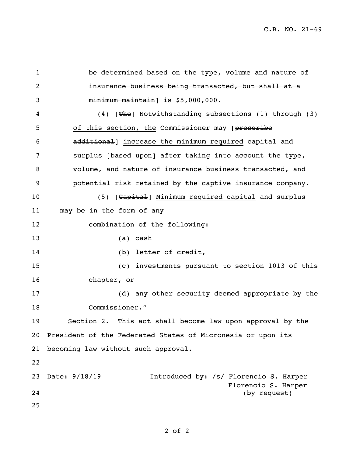C.B. NO. 21-69

 be determined based on the type, volume and nature of insurance business being transacted, but shall at a minimum maintain] is \$5,000,000. (4) [The] Notwithstanding subsections (1) through (3) 5 of this section, the Commissioner may [prescribe **additional** increase the minimum required capital and 7 surplus [based upon] after taking into account the type, volume, and nature of insurance business transacted, and potential risk retained by the captive insurance company. 10 (5) [Capital] Minimum required capital and surplus may be in the form of any combination of the following: (a) cash (b) letter of credit, (c) investments pursuant to section 1013 of this chapter, or (d) any other security deemed appropriate by the Commissioner." Section 2. This act shall become law upon approval by the President of the Federated States of Micronesia or upon its becoming law without such approval. Date: 9/18/19 Introduced by: /s/ Florencio S. Harper Florencio S. Harper (by request)